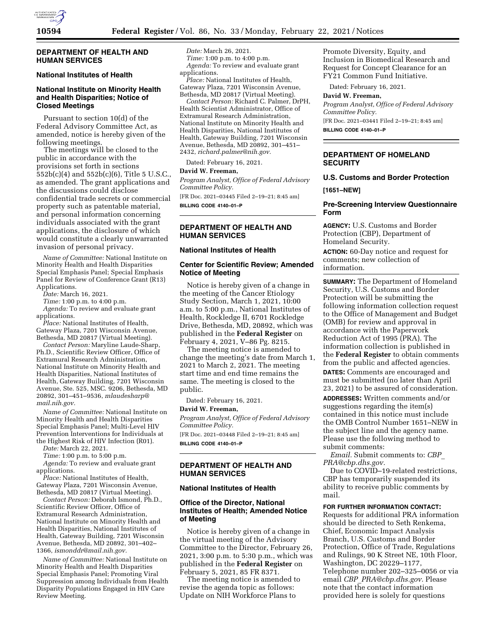

### **DEPARTMENT OF HEALTH AND HUMAN SERVICES**

#### **National Institutes of Health**

## **National Institute on Minority Health and Health Disparities; Notice of Closed Meetings**

Pursuant to section 10(d) of the Federal Advisory Committee Act, as amended, notice is hereby given of the following meetings.

The meetings will be closed to the public in accordance with the provisions set forth in sections 552b(c)(4) and 552b(c)(6), Title 5 U.S.C., as amended. The grant applications and the discussions could disclose confidential trade secrets or commercial property such as patentable material, and personal information concerning individuals associated with the grant applications, the disclosure of which would constitute a clearly unwarranted invasion of personal privacy.

*Name of Committee:* National Institute on Minority Health and Health Disparities Special Emphasis Panel; Special Emphasis Panel for Review of Conference Grant (R13) Applications.

*Date:* March 16, 2021.

*Time:* 1:00 p.m. to 4:00 p.m.

*Agenda:* To review and evaluate grant applications.

*Place:* National Institutes of Health, Gateway Plaza, 7201 Wisconsin Avenue, Bethesda, MD 20817 (Virtual Meeting).

*Contact Person:* Maryline Laude-Sharp, Ph.D., Scientific Review Officer, Office of Extramural Research Administration, National Institute on Minority Health and Health Disparities, National Institutes of Health, Gateway Building, 7201 Wisconsin Avenue, Ste. 525, MSC. 9206, Bethesda, MD 20892, 301–451–9536, *[mlaudesharp@](mailto:mlaudesharp@mail.nih.gov) [mail.nih.gov.](mailto:mlaudesharp@mail.nih.gov)* 

*Name of Committee:* National Institute on Minority Health and Health Disparities Special Emphasis Panel; Multi-Level HIV Prevention Interventions for Individuals at the Highest Risk of HIV Infection (R01).

*Date:* March 22, 2021.

*Time:* 1:00 p.m. to 5:00 p.m. *Agenda:* To review and evaluate grant

applications. *Place:* National Institutes of Health, Gateway Plaza, 7201 Wisconsin Avenue, Bethesda, MD 20817 (Virtual Meeting).

*Contact Person:* Deborah Ismond, Ph.D., Scientific Review Officer, Office of Extramural Research Administration, National Institute on Minority Health and Health Disparities, National Institutes of Health, Gateway Building, 7201 Wisconsin Avenue, Bethesda, MD 20892, 301–402– 1366, *[ismonddr@mail.nih.gov.](mailto:ismonddr@mail.nih.gov)* 

*Name of Committee:* National Institute on Minority Health and Health Disparities Special Emphasis Panel; Promoting Viral Suppression among Individuals from Health Disparity Populations Engaged in HIV Care Review Meeting.

*Date:* March 26, 2021. *Time:* 1:00 p.m. to 4:00 p.m. *Agenda:* To review and evaluate grant applications.

*Place:* National Institutes of Health, Gateway Plaza, 7201 Wisconsin Avenue, Bethesda, MD 20817 (Virtual Meeting).

*Contact Person:* Richard C. Palmer, DrPH, Health Scientist Administrator, Office of Extramural Research Administration, National Institute on Minority Health and Health Disparities, National Institutes of Health, Gateway Building, 7201 Wisconsin Avenue, Bethesda, MD 20892, 301–451– 2432, *[richard.palmer@nih.gov.](mailto:richard.palmer@nih.gov)* 

Dated: February 16, 2021.

#### **David W. Freeman,**

*Program Analyst, Office of Federal Advisory Committee Policy.* 

[FR Doc. 2021–03445 Filed 2–19–21; 8:45 am] **BILLING CODE 4140–01–P** 

## **DEPARTMENT OF HEALTH AND HUMAN SERVICES**

## **National Institutes of Health**

## **Center for Scientific Review; Amended Notice of Meeting**

Notice is hereby given of a change in the meeting of the Cancer Etiology Study Section, March 1, 2021, 10:00 a.m. to 5:00 p.m., National Institutes of Health, Rockledge II, 6701 Rockledge Drive, Bethesda, MD, 20892, which was published in the **Federal Register** on February 4, 2021, V–86 Pg. 8215.

The meeting notice is amended to change the meeting's date from March 1, 2021 to March 2, 2021. The meeting start time and end time remains the same. The meeting is closed to the public.

Dated: February 16, 2021.

#### **David W. Freeman,**

*Program Analyst, Office of Federal Advisory Committee Policy.* 

[FR Doc. 2021–03448 Filed 2–19–21; 8:45 am] **BILLING CODE 4140–01–P** 

#### **DEPARTMENT OF HEALTH AND HUMAN SERVICES**

#### **National Institutes of Health**

### **Office of the Director, National Institutes of Health; Amended Notice of Meeting**

Notice is hereby given of a change in the virtual meeting of the Advisory Committee to the Director, February 26, 2021, 3:00 p.m. to 5:30 p.m., which was published in the **Federal Register** on February 5, 2021, 85 FR 8371.

The meeting notice is amended to revise the agenda topic as follows: Update on NIH Workforce Plans to

Promote Diversity, Equity, and Inclusion in Biomedical Research and Request for Concept Clearance for an FY21 Common Fund Initiative.

Dated: February 16, 2021.

**David W. Freeman,** 

*Program Analyst, Office of Federal Advisory Committee Policy.* 

[FR Doc. 2021–03441 Filed 2–19–21; 8:45 am] **BILLING CODE 4140–01–P** 

## **DEPARTMENT OF HOMELAND SECURITY**

## **U.S. Customs and Border Protection**

**[1651–NEW]** 

#### **Pre-Screening Interview Questionnaire Form**

**AGENCY:** U.S. Customs and Border Protection (CBP), Department of Homeland Security.

**ACTION:** 60-Day notice and request for comments; new collection of information.

**SUMMARY:** The Department of Homeland Security, U.S. Customs and Border Protection will be submitting the following information collection request to the Office of Management and Budget (OMB) for review and approval in accordance with the Paperwork Reduction Act of 1995 (PRA). The information collection is published in the **Federal Register** to obtain comments from the public and affected agencies.

**DATES:** Comments are encouraged and must be submitted (no later than April 23, 2021) to be assured of consideration.

**ADDRESSES:** Written comments and/or suggestions regarding the item(s) contained in this notice must include the OMB Control Number 1651–NEW in the subject line and the agency name. Please use the following method to submit comments:

*Email.* Submit comments to: *[CBP](mailto:CBP_PRA@cbp.dhs.gov)*\_ *[PRA@cbp.dhs.gov.](mailto:CBP_PRA@cbp.dhs.gov)* 

Due to COVID–19-related restrictions, CBP has temporarily suspended its ability to receive public comments by mail.

## **FOR FURTHER INFORMATION CONTACT:**

Requests for additional PRA information should be directed to Seth Renkema, Chief, Economic Impact Analysis Branch, U.S. Customs and Border Protection, Office of Trade, Regulations and Rulings, 90 K Street NE, 10th Floor, Washington, DC 20229–1177, Telephone number 202–325–0056 or via email *CBP*\_*[PRA@cbp.dhs.gov.](mailto:CBP_PRA@cbp.dhs.gov)* Please note that the contact information provided here is solely for questions